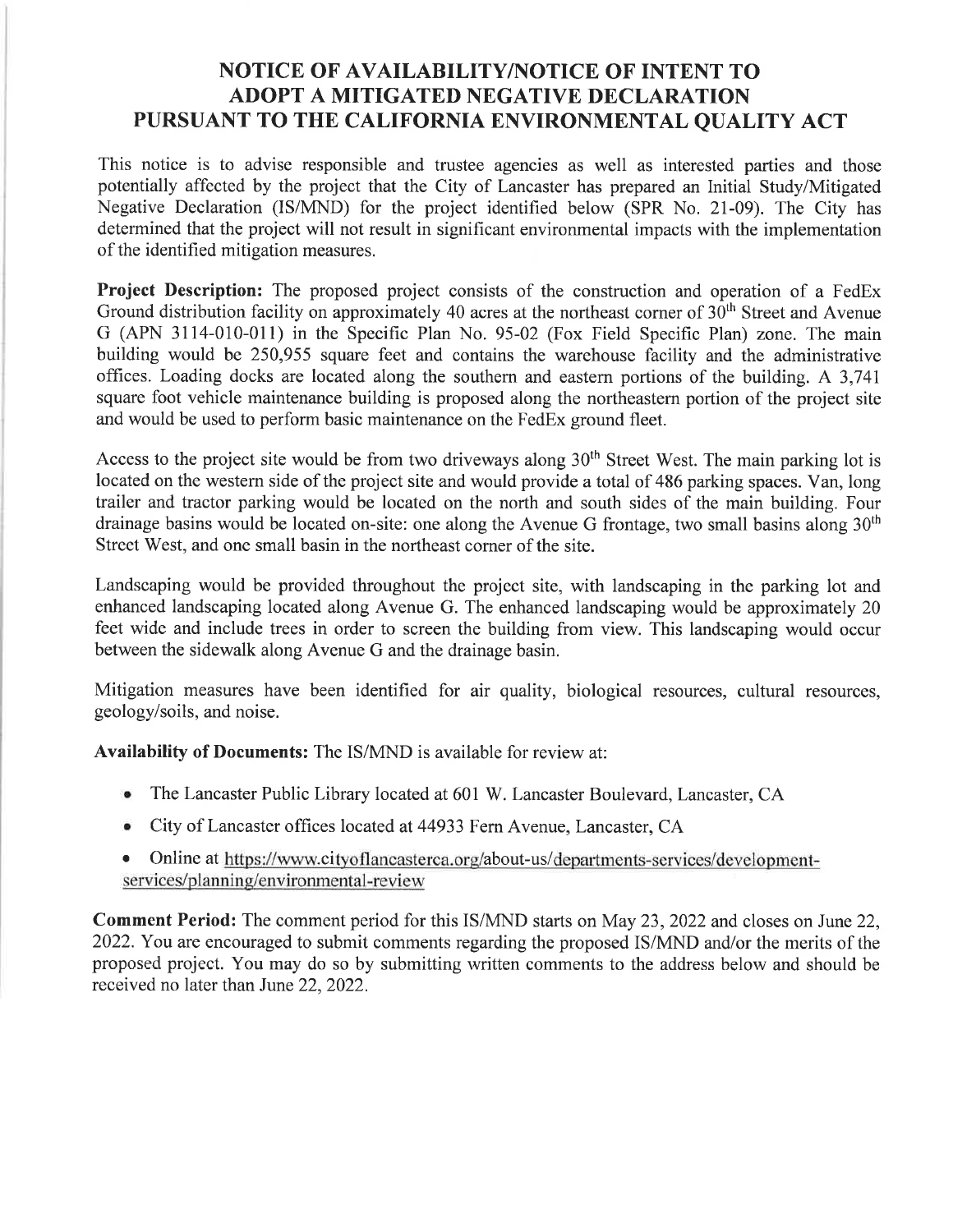## NOTICE OF AVAILABILITY/NOTICE OF INTENT TO ADOPT A MITIGATED NEGATIVE DECLARATION PURSUANT TO THE CALIFORNIA ENVIRONMENTAL QUALITY ACT

This notice is to advise responsible and trustee agencies as well as interested parties and those potentially affected by the project that the City of Lancaster has prepared an Initial Study/Mitigated Negative Declaration (IS/MND) for the project identified below (SPR No. 2I-09). The City has determined that the project will not result in significant environmental impacts with the implementation of the identified mitigation measures.

Project Description: The proposed project consists of the construction and operation of a FedEx Ground distribution facility on approximately 40 acres at the northeast corner of  $30<sup>th</sup>$  Street and Avenue G (APN 3114-010-011) in the Specific Plan No.95-02 (Fox Field Specihc Plan) zone. The main building would be 250,955 square feet and contains the warehouse facility and the administrative offices. Loading docks are located along the southern and eastern portions of the building. A 3,741 square foot vehicle maintenance building is proposed along the northeastern portion of the project site and would be used to perform basic maintenance on the FedEx ground fleet.

Access to the project site would be from two driveways along 30<sup>th</sup> Street West. The main parking lot is located on the westem side of the project site and would provide a total of 486 parking spaces. Van, long trailer and tractor parking would be located on the north and south sides of the main building. Four drainage basins would be located on-site: one along the Avenue G frontage, two small basins along 30<sup>th</sup> Street West, and one small basin in the northeast corner of the site.

Landscaping would be provided throughout the project site, with landscaping in the parking lot and enhanced landscaping located along Avenue G. The enhanced landscaping would be approximately 20 feet wide and include trees in order to screen the building from view. This landscaping would occur between the sidewalk along Avenue G and the drainage basin.

Mitigation measures have been identified for air quality, biological resources, cultural resources, geology/soils, and noise.

Availability of Documents: The IS/MND is available for review at:

- The Lancaster Public Library located at 601 W. Lancaster Boulevard, Lancaster, CA
- . City of Lancaster offices located at 44933 Fern Avenue, Lancaster, CA
- Online at https://www.cityoflancasterca.org/about-us/departments-services/developmentservices/planninq/environmental-review

Comment Period: The comment period for this IS/MND starts on May 23,2022 and closes on June 22, 2022. You are encouraged to submit comments regarding the proposed IS/MND and/or the merits of the proposed project. You may do so by submitting written comments to the address below and should be received no later than June 22,2022.